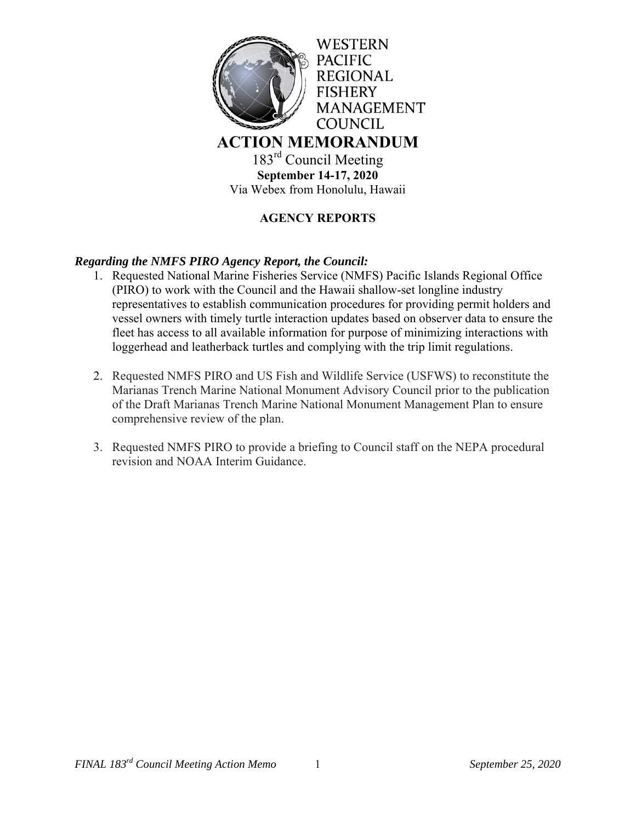

**September 14-17, 2020**  Via Webex from Honolulu, Hawaii

# **AGENCY REPORTS**

## *Regarding the NMFS PIRO Agency Report, the Council:*

- 1. Requested National Marine Fisheries Service (NMFS) Pacific Islands Regional Office (PIRO) to work with the Council and the Hawaii shallow-set longline industry representatives to establish communication procedures for providing permit holders and vessel owners with timely turtle interaction updates based on observer data to ensure the fleet has access to all available information for purpose of minimizing interactions with loggerhead and leatherback turtles and complying with the trip limit regulations.
- 2. Requested NMFS PIRO and US Fish and Wildlife Service (USFWS) to reconstitute the Marianas Trench Marine National Monument Advisory Council prior to the publication of the Draft Marianas Trench Marine National Monument Management Plan to ensure comprehensive review of the plan.
- 3. Requested NMFS PIRO to provide a briefing to Council staff on the NEPA procedural revision and NOAA Interim Guidance.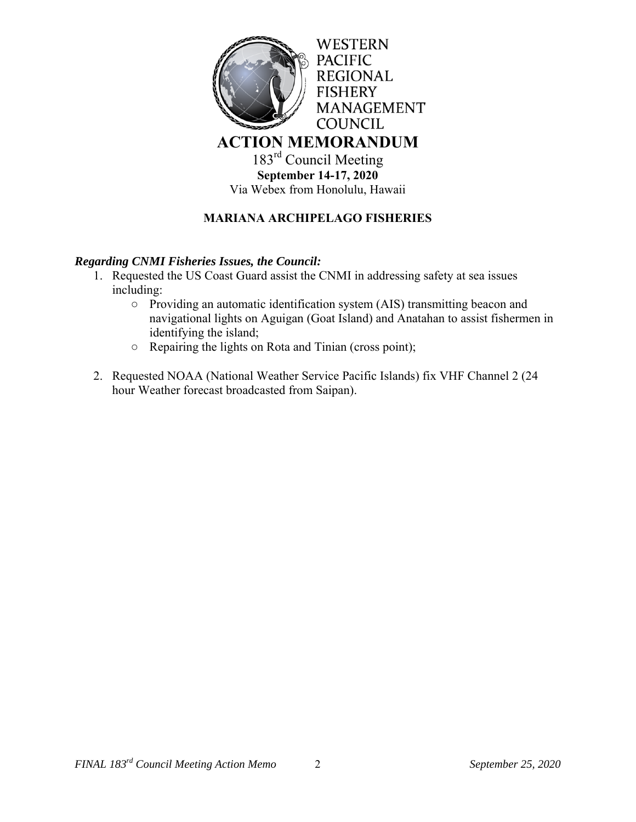

# **MARIANA ARCHIPELAGO FISHERIES**

#### *Regarding CNMI Fisheries Issues, the Council:*

- 1. Requested the US Coast Guard assist the CNMI in addressing safety at sea issues including:
	- Providing an automatic identification system (AIS) transmitting beacon and navigational lights on Aguigan (Goat Island) and Anatahan to assist fishermen in identifying the island;
	- Repairing the lights on Rota and Tinian (cross point);
- 2. Requested NOAA (National Weather Service Pacific Islands) fix VHF Channel 2 (24 hour Weather forecast broadcasted from Saipan).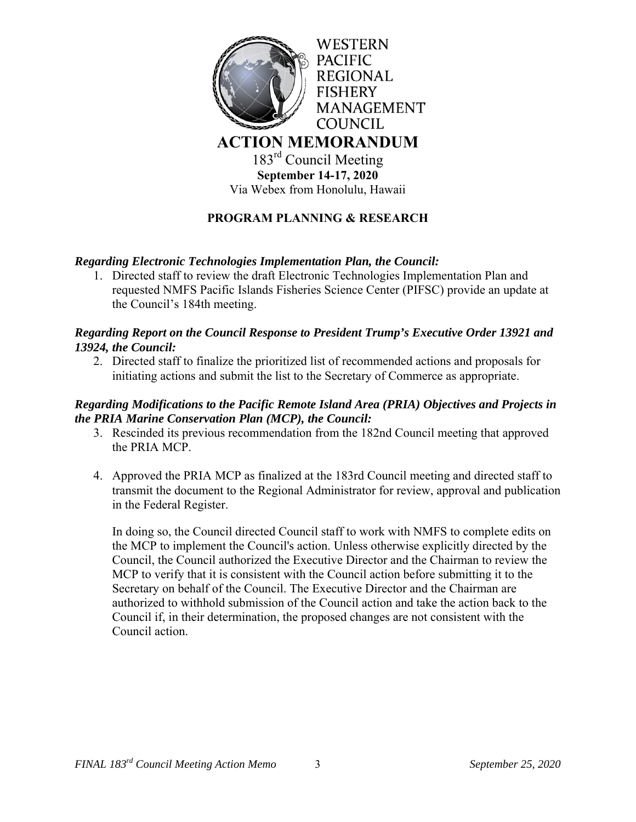

**September 14-17, 2020**  Via Webex from Honolulu, Hawaii

# **PROGRAM PLANNING & RESEARCH**

### *Regarding Electronic Technologies Implementation Plan, the Council:*

1. Directed staff to review the draft Electronic Technologies Implementation Plan and requested NMFS Pacific Islands Fisheries Science Center (PIFSC) provide an update at the Council's 184th meeting.

## *Regarding Report on the Council Response to President Trump's Executive Order 13921 and 13924, the Council:*

2. Directed staff to finalize the prioritized list of recommended actions and proposals for initiating actions and submit the list to the Secretary of Commerce as appropriate.

### *Regarding Modifications to the Pacific Remote Island Area (PRIA) Objectives and Projects in the PRIA Marine Conservation Plan (MCP), the Council:*

- 3. Rescinded its previous recommendation from the 182nd Council meeting that approved the PRIA MCP.
- 4. Approved the PRIA MCP as finalized at the 183rd Council meeting and directed staff to transmit the document to the Regional Administrator for review, approval and publication in the Federal Register.

In doing so, the Council directed Council staff to work with NMFS to complete edits on the MCP to implement the Council's action. Unless otherwise explicitly directed by the Council, the Council authorized the Executive Director and the Chairman to review the MCP to verify that it is consistent with the Council action before submitting it to the Secretary on behalf of the Council. The Executive Director and the Chairman are authorized to withhold submission of the Council action and take the action back to the Council if, in their determination, the proposed changes are not consistent with the Council action.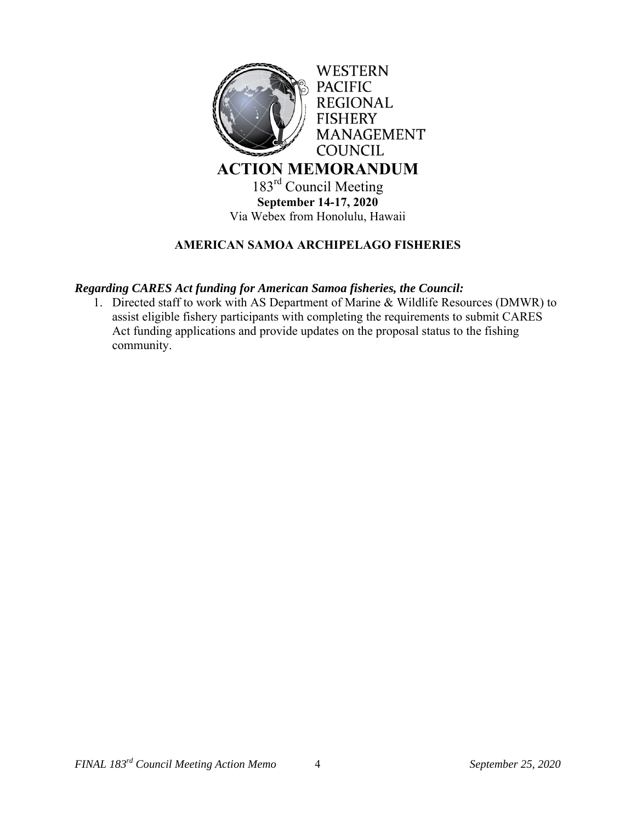

# **AMERICAN SAMOA ARCHIPELAGO FISHERIES**

### *Regarding CARES Act funding for American Samoa fisheries, the Council:*

1. Directed staff to work with AS Department of Marine & Wildlife Resources (DMWR) to assist eligible fishery participants with completing the requirements to submit CARES Act funding applications and provide updates on the proposal status to the fishing community.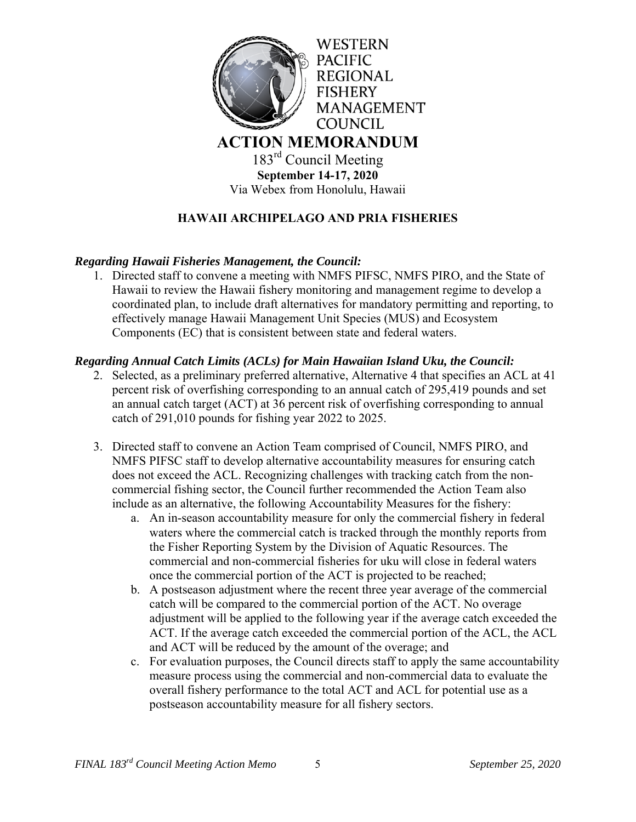

**September 14-17, 2020**  Via Webex from Honolulu, Hawaii

# **HAWAII ARCHIPELAGO AND PRIA FISHERIES**

### *Regarding Hawaii Fisheries Management, the Council:*

1. Directed staff to convene a meeting with NMFS PIFSC, NMFS PIRO, and the State of Hawaii to review the Hawaii fishery monitoring and management regime to develop a coordinated plan, to include draft alternatives for mandatory permitting and reporting, to effectively manage Hawaii Management Unit Species (MUS) and Ecosystem Components (EC) that is consistent between state and federal waters.

#### *Regarding Annual Catch Limits (ACLs) for Main Hawaiian Island Uku, the Council:*

- 2. Selected, as a preliminary preferred alternative, Alternative 4 that specifies an ACL at 41 percent risk of overfishing corresponding to an annual catch of 295,419 pounds and set an annual catch target (ACT) at 36 percent risk of overfishing corresponding to annual catch of 291,010 pounds for fishing year 2022 to 2025.
- 3. Directed staff to convene an Action Team comprised of Council, NMFS PIRO, and NMFS PIFSC staff to develop alternative accountability measures for ensuring catch does not exceed the ACL. Recognizing challenges with tracking catch from the noncommercial fishing sector, the Council further recommended the Action Team also include as an alternative, the following Accountability Measures for the fishery:
	- a. An in-season accountability measure for only the commercial fishery in federal waters where the commercial catch is tracked through the monthly reports from the Fisher Reporting System by the Division of Aquatic Resources. The commercial and non-commercial fisheries for uku will close in federal waters once the commercial portion of the ACT is projected to be reached;
	- b. A postseason adjustment where the recent three year average of the commercial catch will be compared to the commercial portion of the ACT. No overage adjustment will be applied to the following year if the average catch exceeded the ACT. If the average catch exceeded the commercial portion of the ACL, the ACL and ACT will be reduced by the amount of the overage; and
	- c. For evaluation purposes, the Council directs staff to apply the same accountability measure process using the commercial and non-commercial data to evaluate the overall fishery performance to the total ACT and ACL for potential use as a postseason accountability measure for all fishery sectors.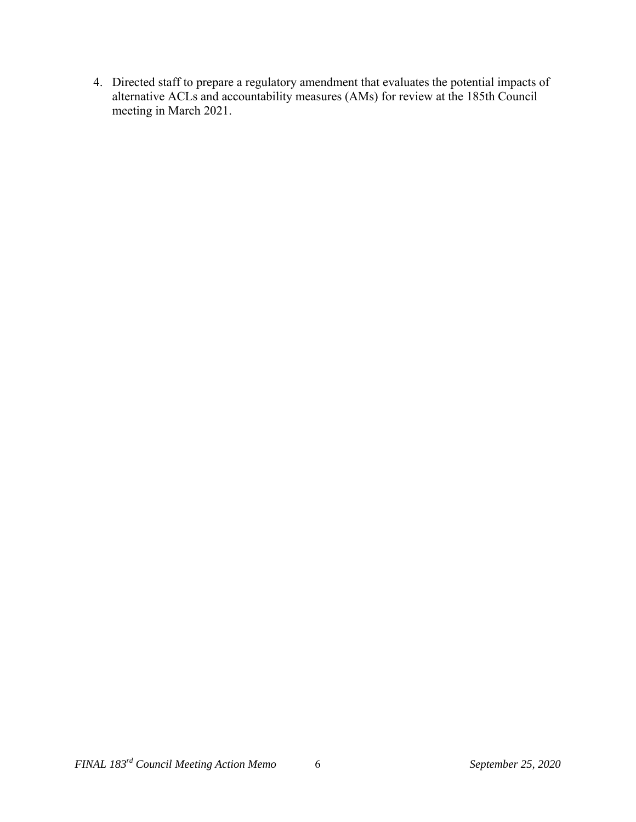4. Directed staff to prepare a regulatory amendment that evaluates the potential impacts of alternative ACLs and accountability measures (AMs) for review at the 185th Council meeting in March 2021.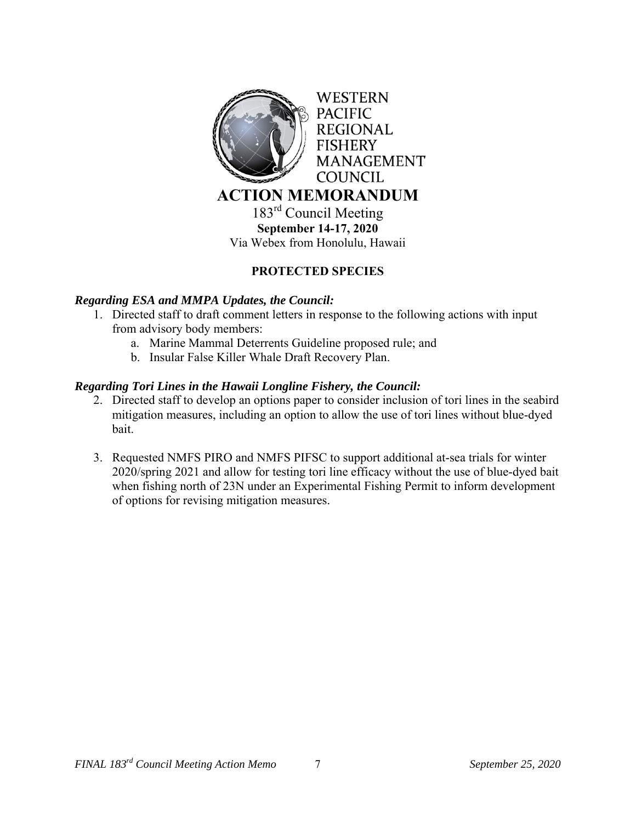

## **PROTECTED SPECIES**

## *Regarding ESA and MMPA Updates, the Council:*

- 1. Directed staff to draft comment letters in response to the following actions with input from advisory body members:
	- a. Marine Mammal Deterrents Guideline proposed rule; and
	- b. Insular False Killer Whale Draft Recovery Plan.

### *Regarding Tori Lines in the Hawaii Longline Fishery, the Council:*

- 2. Directed staff to develop an options paper to consider inclusion of tori lines in the seabird mitigation measures, including an option to allow the use of tori lines without blue-dyed bait.
- 3. Requested NMFS PIRO and NMFS PIFSC to support additional at-sea trials for winter 2020/spring 2021 and allow for testing tori line efficacy without the use of blue-dyed bait when fishing north of 23N under an Experimental Fishing Permit to inform development of options for revising mitigation measures.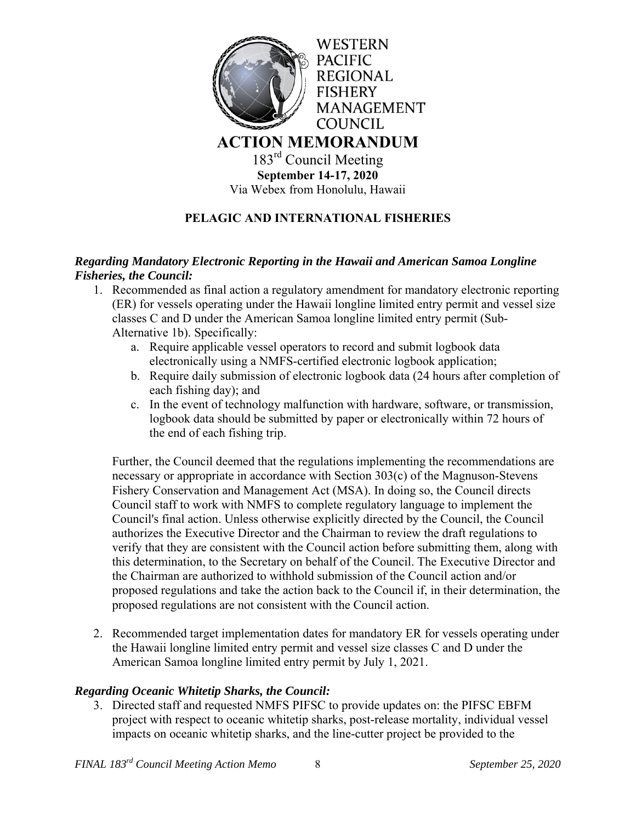

Via Webex from Honolulu, Hawaii

# **PELAGIC AND INTERNATIONAL FISHERIES**

## *Regarding Mandatory Electronic Reporting in the Hawaii and American Samoa Longline Fisheries, the Council:*

- 1. Recommended as final action a regulatory amendment for mandatory electronic reporting (ER) for vessels operating under the Hawaii longline limited entry permit and vessel size classes C and D under the American Samoa longline limited entry permit (Sub-Alternative 1b). Specifically:
	- a. Require applicable vessel operators to record and submit logbook data electronically using a NMFS-certified electronic logbook application;
	- b. Require daily submission of electronic logbook data (24 hours after completion of each fishing day); and
	- c. In the event of technology malfunction with hardware, software, or transmission, logbook data should be submitted by paper or electronically within 72 hours of the end of each fishing trip.

Further, the Council deemed that the regulations implementing the recommendations are necessary or appropriate in accordance with Section 303(c) of the Magnuson-Stevens Fishery Conservation and Management Act (MSA). In doing so, the Council directs Council staff to work with NMFS to complete regulatory language to implement the Council's final action. Unless otherwise explicitly directed by the Council, the Council authorizes the Executive Director and the Chairman to review the draft regulations to verify that they are consistent with the Council action before submitting them, along with this determination, to the Secretary on behalf of the Council. The Executive Director and the Chairman are authorized to withhold submission of the Council action and/or proposed regulations and take the action back to the Council if, in their determination, the proposed regulations are not consistent with the Council action.

2. Recommended target implementation dates for mandatory ER for vessels operating under the Hawaii longline limited entry permit and vessel size classes C and D under the American Samoa longline limited entry permit by July 1, 2021.

## *Regarding Oceanic Whitetip Sharks, the Council:*

3. Directed staff and requested NMFS PIFSC to provide updates on: the PIFSC EBFM project with respect to oceanic whitetip sharks, post-release mortality, individual vessel impacts on oceanic whitetip sharks, and the line-cutter project be provided to the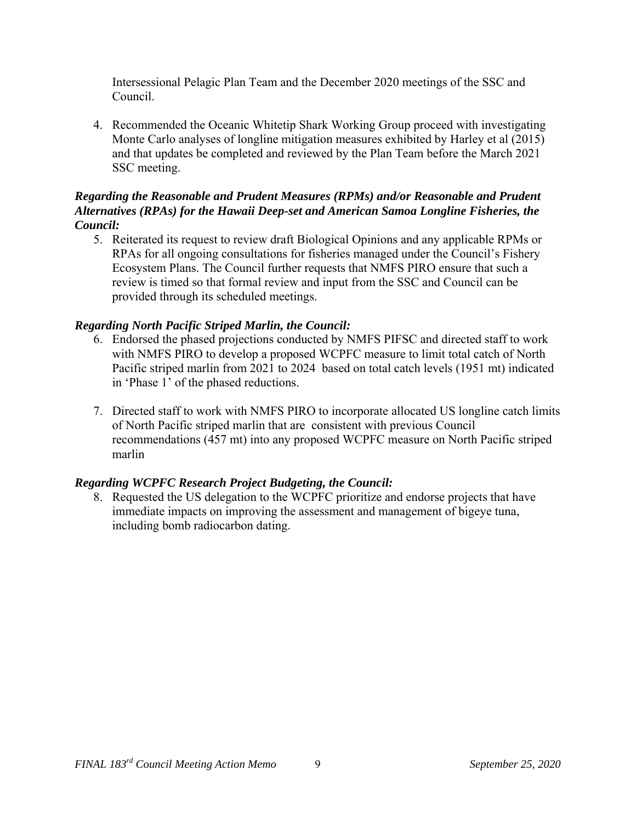Intersessional Pelagic Plan Team and the December 2020 meetings of the SSC and Council.

4. Recommended the Oceanic Whitetip Shark Working Group proceed with investigating Monte Carlo analyses of longline mitigation measures exhibited by Harley et al (2015) and that updates be completed and reviewed by the Plan Team before the March 2021 SSC meeting.

### *Regarding the Reasonable and Prudent Measures (RPMs) and/or Reasonable and Prudent Alternatives (RPAs) for the Hawaii Deep-set and American Samoa Longline Fisheries, the Council:*

5. Reiterated its request to review draft Biological Opinions and any applicable RPMs or RPAs for all ongoing consultations for fisheries managed under the Council's Fishery Ecosystem Plans. The Council further requests that NMFS PIRO ensure that such a review is timed so that formal review and input from the SSC and Council can be provided through its scheduled meetings.

## *Regarding North Pacific Striped Marlin, the Council:*

- 6. Endorsed the phased projections conducted by NMFS PIFSC and directed staff to work with NMFS PIRO to develop a proposed WCPFC measure to limit total catch of North Pacific striped marlin from 2021 to 2024 based on total catch levels (1951 mt) indicated in 'Phase 1' of the phased reductions.
- 7. Directed staff to work with NMFS PIRO to incorporate allocated US longline catch limits of North Pacific striped marlin that are consistent with previous Council recommendations (457 mt) into any proposed WCPFC measure on North Pacific striped marlin

## *Regarding WCPFC Research Project Budgeting, the Council:*

8. Requested the US delegation to the WCPFC prioritize and endorse projects that have immediate impacts on improving the assessment and management of bigeye tuna, including bomb radiocarbon dating.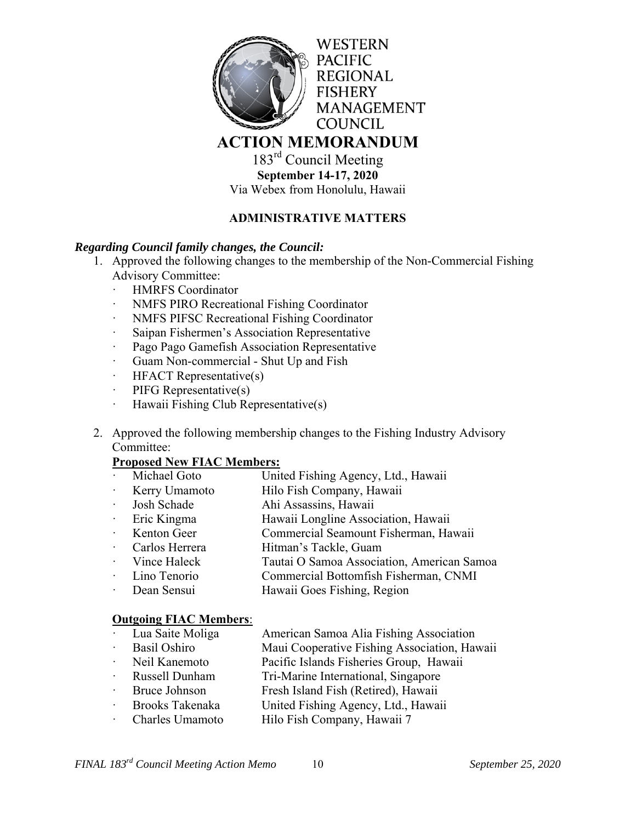

183<sup>rd</sup> Council Meeting **September 14-17, 2020**  Via Webex from Honolulu, Hawaii

## **ADMINISTRATIVE MATTERS**

### *Regarding Council family changes, the Council:*

- 1. Approved the following changes to the membership of the Non-Commercial Fishing Advisory Committee:
	- ꞏ HMRFS Coordinator
	- ꞏ NMFS PIRO Recreational Fishing Coordinator
	- ꞏ NMFS PIFSC Recreational Fishing Coordinator
	- Saipan Fishermen's Association Representative
	- ꞏ Pago Pago Gamefish Association Representative
	- Guam Non-commercial Shut Up and Fish
	- ꞏ HFACT Representative(s)
	- $\cdot$  PIFG Representative(s)
	- $\cdot$  Hawaii Fishing Club Representative(s)
- 2. Approved the following membership changes to the Fishing Industry Advisory Committee:

#### **Proposed New FIAC Members:**

- Michael Goto United Fishing Agency, Ltd., Hawaii
- ꞏ Kerry Umamoto Hilo Fish Company, Hawaii
- ꞏ Josh Schade Ahi Assassins, Hawaii
- ꞏ Eric Kingma Hawaii Longline Association, Hawaii
- Kenton Geer Commercial Seamount Fisherman, Hawaii
- Carlos Herrera Hitman's Tackle, Guam
- ꞏ Vince Haleck Tautai O Samoa Association, American Samoa
- ꞏ Lino Tenorio Commercial Bottomfish Fisherman, CNMI
- Dean Sensui Hawaii Goes Fishing, Region

#### **Outgoing FIAC Members**:

| Lua Saite Moliga                    | American Samoa Alia Fishing Association      |
|-------------------------------------|----------------------------------------------|
| Basil Oshiro                        | Maui Cooperative Fishing Association, Hawaii |
| $N_{\alpha}$ il $V_{\alpha}$ nomoto | Decific Islands Fisherias Crown Howaii       |

- Neil Kanemoto **Pacific Islands Fisheries Group**, Hawaii
- Russell Dunham Tri-Marine International, Singapore
- Bruce Johnson Fresh Island Fish (Retired), Hawaii
- ꞏ Brooks Takenaka United Fishing Agency, Ltd., Hawaii
- Charles Umamoto Hilo Fish Company, Hawaii 7